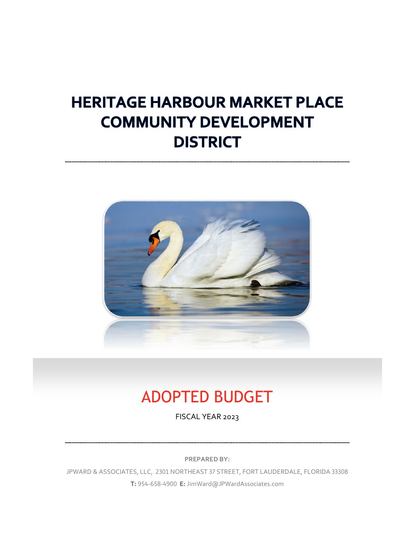# **HERITAGE HARBOUR MARKET PLACE COMMUNITY DEVELOPMENT DISTRICT**



# ADOPTED BUDGET

FISCAL YEAR 2023

**PREPARED BY:**

JPWARD & ASSOCIATES, LLC, 2301 NORTHEAST 37 STREET, FORT LAUDERDALE, FLORIDA 33308 **T:** 954-658-4900 **E:** JimWard@JPWardAssociates.com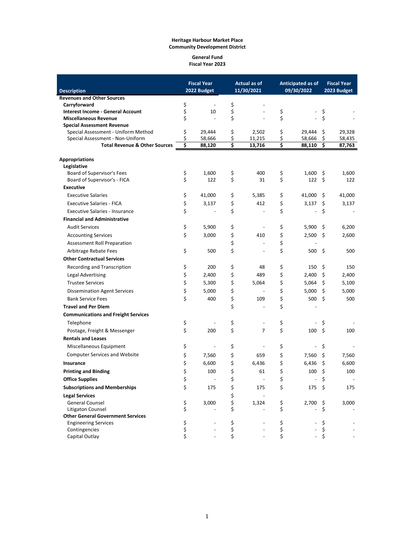#### **General Fund Fiscal Year 2023**

|                                            |          | <b>Fiscal Year</b>       |          | Actual as of             |          | Anticipated as of |          | <b>Fiscal Year</b> |
|--------------------------------------------|----------|--------------------------|----------|--------------------------|----------|-------------------|----------|--------------------|
| <b>Description</b>                         |          | 2022 Budget              |          | 11/30/2021               |          | 09/30/2022        |          | 2023 Budget        |
| <b>Revenues and Other Sources</b>          |          |                          |          |                          |          |                   |          |                    |
| Carryforward                               | \$       | $\overline{\phantom{a}}$ | \$       |                          |          |                   |          |                    |
| Interest Income - General Account          | \$       | 10                       | \$       | $\overline{a}$           | \$       | $\frac{1}{2}$     | \$       |                    |
| <b>Miscellaneous Revenue</b>               | \$       | $\overline{a}$           | \$       |                          | \$       |                   | \$       |                    |
| <b>Special Assessment Revenue</b>          |          |                          |          |                          |          |                   |          |                    |
| Special Assessment - Uniform Method        | \$       | 29,444                   | \$       | 2,502                    | \$       | 29,444            | \$       | 29,328             |
| Special Assessment - Non-Uniform           | \$       | 58,666                   | \$       | 11,215                   | \$       | 58,666            | \$       | 58,435             |
| <b>Total Revenue &amp; Other Sources</b>   | \$       | 88,120                   | \$       | 13,716                   | \$       | 88,110            | \$       | 87,763             |
| <b>Appropriations</b>                      |          |                          |          |                          |          |                   |          |                    |
| Legislative                                |          |                          |          |                          |          |                   |          |                    |
| Board of Supervisor's Fees                 | \$       | 1,600                    | \$       | 400                      | \$       | 1,600             | \$       | 1,600              |
| Board of Supervisor's - FICA               | \$       | 122                      | \$       | 31                       | \$       | 122               | Ŝ.       | 122                |
| <b>Executive</b>                           |          |                          |          |                          |          |                   |          |                    |
| <b>Executive Salaries</b>                  | \$       | 41,000                   | \$       | 5,385                    | \$       | 41,000            | \$.      | 41,000             |
| <b>Executive Salaries - FICA</b>           | \$       | 3,137                    | \$       | 412                      | \$       | 3,137             | \$       | 3,137              |
| <b>Executive Salaries - Insurance</b>      | \$       |                          | \$       | $\overline{a}$           | \$       | $\overline{a}$    | \$       |                    |
| <b>Financial and Administrative</b>        |          |                          |          |                          |          |                   |          |                    |
| <b>Audit Services</b>                      | \$       | 5,900                    | \$       | $\overline{a}$           | \$       | 5,900             | \$       | 6,200              |
|                                            | \$       |                          |          |                          |          |                   |          |                    |
| <b>Accounting Services</b>                 |          | 3,000                    | \$       | 410                      | \$       | 2,500             | \$       | 2,600              |
| Assessment Roll Preparation                |          |                          | \$       |                          | \$       |                   |          |                    |
| Arbitrage Rebate Fees                      | \$       | 500                      | \$       | $\overline{\phantom{a}}$ | \$       | 500               | \$       | 500                |
| <b>Other Contractual Services</b>          |          |                          |          |                          |          |                   |          |                    |
| Recording and Transcription                | \$       | 200                      | \$       | 48                       | \$       | 150               | \$       | 150                |
| Legal Advertising                          | \$       | 2,400                    | \$       | 489                      | \$       | 2,400             | \$       | 2,400              |
| <b>Trustee Services</b>                    | \$       | 5,300                    | \$       | 5,064                    | \$       | 5,064             | \$       | 5,100              |
| <b>Dissemination Agent Services</b>        | \$       | 5,000                    | \$       |                          | \$       | 5,000             | \$       | 5,000              |
| <b>Bank Service Fees</b>                   | Ś        | 400                      | \$       | 109                      | \$       | 500               | \$       | 500                |
| <b>Travel and Per Diem</b>                 |          |                          | \$       |                          | \$       |                   |          |                    |
| <b>Communications and Freight Services</b> |          |                          |          |                          |          |                   |          |                    |
| Telephone                                  | \$       |                          | \$       | $\overline{a}$           | \$       |                   | \$       |                    |
| Postage, Freight & Messenger               | \$       | 200                      | \$       | $\overline{7}$           | \$       | 100               | S.       | 100                |
| <b>Rentals and Leases</b>                  |          |                          |          |                          |          |                   |          |                    |
| Miscellaneous Equipment                    | \$       | $\overline{a}$           | \$       | $\overline{a}$           | \$       | $\overline{a}$    | \$       |                    |
|                                            |          |                          |          |                          |          |                   |          |                    |
| <b>Computer Services and Website</b>       | \$       | 7,560                    | \$       | 659                      | \$       | 7,560             | \$       | 7,560              |
| Insurance                                  | \$       | 6,600                    | \$       | 6,436                    | \$       | 6.436             | \$       | 6,600              |
| <b>Printing and Binding</b>                | \$       | 100                      | \$       | 61                       | \$       | 100               | \$       | 100                |
| <b>Office Supplies</b>                     | Ş        |                          | Ş        |                          | Ş        |                   | Ş        |                    |
| <b>Subscriptions and Memberships</b>       | \$       | 175                      | \$       | 175                      | \$       | 175               | -\$      | 175                |
| <b>Legal Services</b>                      |          |                          | \$       |                          |          |                   |          |                    |
| General Counsel                            | \$       | 3,000                    | \$       | 1,324                    | \$       | 2,700 \$          |          | 3,000              |
| Litigaton Counsel                          | \$       |                          | \$       |                          | \$       |                   | \$       |                    |
| <b>Other General Government Services</b>   |          |                          |          |                          |          |                   |          |                    |
| <b>Engineering Services</b>                | \$       |                          | \$       |                          | \$       |                   | \$       |                    |
| Contingencies<br>Capital Outlay            | \$<br>\$ |                          | \$<br>\$ |                          | \$<br>\$ |                   | \$<br>\$ |                    |
|                                            |          |                          |          |                          |          |                   |          |                    |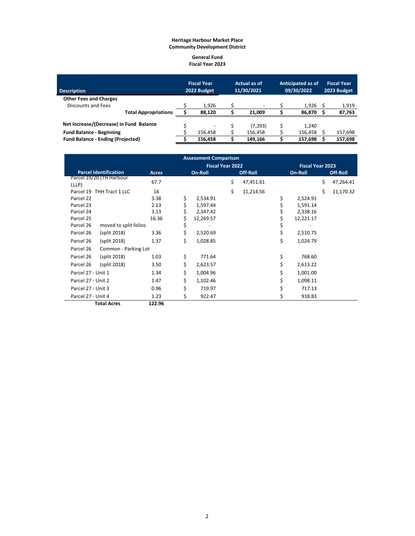#### **General Fund Fiscal Year 2023**

| <b>Description</b>                       |                             | <b>Fiscal Year</b><br>2022 Budget |         | Actual as of<br>11/30/2021 |                          | <b>Anticipated as of</b><br>09/30/2022 |         | <b>Fiscal Year</b><br>2023 Budget |         |
|------------------------------------------|-----------------------------|-----------------------------------|---------|----------------------------|--------------------------|----------------------------------------|---------|-----------------------------------|---------|
| <b>Other Fees and Charges</b>            |                             |                                   |         |                            |                          |                                        |         |                                   |         |
| Discounts and Fees                       |                             |                                   | 1.926   |                            | $\overline{\phantom{0}}$ |                                        | 1.926   |                                   | 1,919   |
|                                          | <b>Total Appropriations</b> |                                   | 88.120  |                            | 21.009                   |                                        | 86.870  |                                   | 87,763  |
| Net Increase/(Decrease) in Fund Balance  |                             |                                   |         |                            | (7, 293)                 |                                        | 1.240   |                                   |         |
| <b>Fund Balance - Beginning</b>          |                             |                                   | 156.458 |                            | 156,458                  |                                        | 156,458 |                                   | 157,698 |
| <b>Fund Balance - Ending (Projected)</b> |                             |                                   | 156.458 |                            | 149.166                  |                                        | 157.698 |                                   | 157,698 |

|                                    |              |    | <b>Assessment Comparison</b> |    |                         |                 |    |           |
|------------------------------------|--------------|----|------------------------------|----|-------------------------|-----------------|----|-----------|
|                                    |              |    | <b>Fiscal Year 2022</b>      |    | <b>Fiscal Year 2023</b> |                 |    |           |
| <b>Parcel Identification</b>       | <b>Acres</b> |    | On-Roll                      |    | Off-Roll                | On-Roll         |    | Off-Roll  |
| Parcel 19/20 (TH Harbour           | 67.7         |    |                              | \$ | 47,451.61               |                 | \$ | 47,264.41 |
| LLLP)                              |              |    |                              |    |                         |                 |    |           |
| Parcel 19 THH Tract 1 LLC          | 16           |    |                              | Ś. | 11,214.56               |                 | \$ | 11,170.32 |
| Parcel 22                          | 3.38         | \$ | 2,534.91                     |    |                         | \$<br>2,524.91  |    |           |
| Parcel 23                          | 2.13         | \$ | 1,597.44                     |    |                         | 1,591.14        |    |           |
| Parcel 24                          | 3.13         | \$ | 2,347.42                     |    |                         | 2,338.16        |    |           |
| Parcel 25                          | 16.36        | \$ | 12,269.57                    |    |                         | \$<br>12,221.17 |    |           |
| Parcel 26<br>moved to split folios |              | \$ |                              |    |                         | \$              |    |           |
| Parcel 26<br>(split 2018)          | 3.36         | \$ | 2,520.69                     |    |                         | \$<br>2,510.75  |    |           |
| Parcel 26<br>(split 2018)          | 1.37         | Ś  | 1,028.85                     |    |                         | \$<br>1,024.79  |    |           |
| Parcel 26<br>Common - Parking Lot  |              |    |                              |    |                         |                 |    |           |
| Parcel 26<br>(split 2018)          | 1.03         | \$ | 771.64                       |    |                         | \$<br>768.60    |    |           |
| Parcel 26<br>(split 2018)          | 3.50         | \$ | 2,623.57                     |    |                         | \$<br>2,613.22  |    |           |
| Parcel 27 - Unit 1                 | 1.34         | \$ | 1,004.96                     |    |                         | \$<br>1,001.00  |    |           |
| Parcel 27 - Unit 2                 | 1.47         | \$ | 1,102.46                     |    |                         | \$<br>1,098.11  |    |           |
| Parcel 27 - Unit 3                 | 0.96         | \$ | 719.97                       |    |                         | \$<br>717.13    |    |           |
| Parcel 27 - Unit 4                 | 1.23         | \$ | 922.47                       |    |                         | \$<br>918.83    |    |           |
| <b>Total Acres</b>                 | 122.96       |    |                              |    |                         |                 |    |           |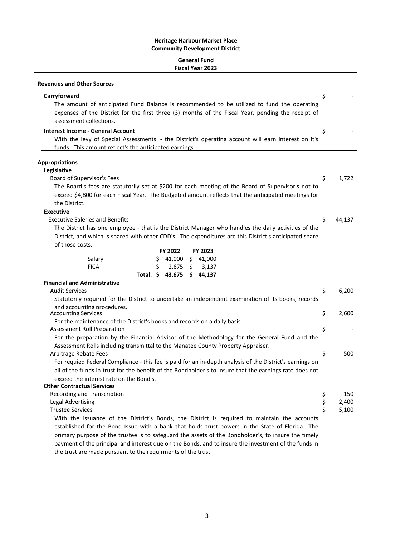## **General Fund Fiscal Year 2023**

| <b>Revenues and Other Sources</b>                                                                                                                                                                                                           |    |        |  |  |  |
|---------------------------------------------------------------------------------------------------------------------------------------------------------------------------------------------------------------------------------------------|----|--------|--|--|--|
| Carryforward<br>The amount of anticipated Fund Balance is recommended to be utilized to fund the operating<br>expenses of the District for the first three (3) months of the Fiscal Year, pending the receipt of<br>assessment collections. | \$ |        |  |  |  |
| <b>Interest Income - General Account</b><br>With the levy of Special Assessments - the District's operating account will earn interest on it's<br>funds. This amount reflect's the anticipated earnings.                                    |    |        |  |  |  |
| <b>Appropriations</b>                                                                                                                                                                                                                       |    |        |  |  |  |
| Legislative                                                                                                                                                                                                                                 |    |        |  |  |  |
| Board of Supervisor's Fees                                                                                                                                                                                                                  | \$ | 1,722  |  |  |  |
| The Board's fees are statutorily set at \$200 for each meeting of the Board of Supervisor's not to<br>exceed \$4,800 for each Fiscal Year. The Budgeted amount reflects that the anticipated meetings for<br>the District.                  |    |        |  |  |  |
| <b>Executive</b>                                                                                                                                                                                                                            |    |        |  |  |  |
| <b>Executive Saleries and Benefits</b>                                                                                                                                                                                                      | \$ | 44,137 |  |  |  |
| The District has one employee - that is the District Manager who handles the daily activities of the                                                                                                                                        |    |        |  |  |  |
| District, and which is shared with other CDD's. The expenditures are this District's anticipated share                                                                                                                                      |    |        |  |  |  |
| of those costs.                                                                                                                                                                                                                             |    |        |  |  |  |
| FY 2022<br>FY 2023                                                                                                                                                                                                                          |    |        |  |  |  |
| $\overline{\mathbf{S}}$<br>\$<br>41,000<br>41,000<br>Salary                                                                                                                                                                                 |    |        |  |  |  |
| <b>FICA</b><br>2,675<br>\$<br>3,137                                                                                                                                                                                                         |    |        |  |  |  |
| Total: \$ 43,675<br>$\overline{5}$ 44,137                                                                                                                                                                                                   |    |        |  |  |  |
| <b>Financial and Administrative</b>                                                                                                                                                                                                         |    |        |  |  |  |
| <b>Audit Services</b>                                                                                                                                                                                                                       | \$ | 6,200  |  |  |  |
| Statutorily required for the District to undertake an independent examination of its books, records                                                                                                                                         |    |        |  |  |  |
| and accounting procedures.<br><b>Accounting Services</b>                                                                                                                                                                                    | \$ | 2,600  |  |  |  |
| For the maintenance of the District's books and records on a daily basis.                                                                                                                                                                   |    |        |  |  |  |
| <b>Assessment Roll Preparation</b>                                                                                                                                                                                                          | \$ |        |  |  |  |
| For the preparation by the Financial Advisor of the Methodology for the General Fund and the                                                                                                                                                |    |        |  |  |  |
| Assessment Rolls including transmittal to the Manatee County Property Appraiser.                                                                                                                                                            |    |        |  |  |  |
| Arbitrage Rebate Fees                                                                                                                                                                                                                       | \$ | 500    |  |  |  |
| For requied Federal Compliance - this fee is paid for an in-depth analysis of the District's earnings on                                                                                                                                    |    |        |  |  |  |
| all of the funds in trust for the benefit of the Bondholder's to insure that the earnings rate does not                                                                                                                                     |    |        |  |  |  |
| exceed the interest rate on the Bond's.                                                                                                                                                                                                     |    |        |  |  |  |
| <b>Other Contractual Services</b>                                                                                                                                                                                                           |    |        |  |  |  |
| Recording and Transcription                                                                                                                                                                                                                 | \$ | 150    |  |  |  |
| <b>Legal Advertising</b>                                                                                                                                                                                                                    | \$ | 2,400  |  |  |  |
| <b>Trustee Services</b>                                                                                                                                                                                                                     | \$ | 5,100  |  |  |  |
| With the issuance of the District's Bonds, the District is required to maintain the accounts                                                                                                                                                |    |        |  |  |  |
| established for the Bond Issue with a bank that holds trust powers in the State of Florida. The                                                                                                                                             |    |        |  |  |  |
| primary purpose of the trustee is to safeguard the assets of the Bondholder's, to insure the timely<br>payment of the principal and interest due on the Bonds, and to insure the investment of the funds in                                 |    |        |  |  |  |

the trust are made pursuant to the requirments of the trust.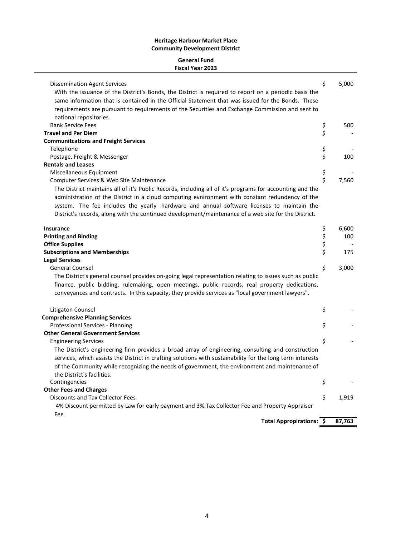## **General Fund Fiscal Year 2023**

| 4% Discount permitted by Law for early payment and 3% Tax Collector Fee and Property Appraiser<br>Fee                                                                                                            |          |       |
|------------------------------------------------------------------------------------------------------------------------------------------------------------------------------------------------------------------|----------|-------|
| Discounts and Tax Collector Fees                                                                                                                                                                                 | \$       | 1,919 |
| <b>Other Fees and Charges</b>                                                                                                                                                                                    |          |       |
| Contingencies                                                                                                                                                                                                    | \$       |       |
| of the Community while recognizing the needs of government, the environment and maintenance of<br>the District's facilities.                                                                                     |          |       |
| The District's engineering firm provides a broad array of engineering, consulting and construction<br>services, which assists the District in crafting solutions with sustainability for the long term interests |          |       |
| <b>Engineering Services</b>                                                                                                                                                                                      | \$       |       |
| <b>Other General Government Services</b>                                                                                                                                                                         |          |       |
| Professional Services - Planning                                                                                                                                                                                 | Ś        |       |
| <b>Comprehensive Planning Services</b>                                                                                                                                                                           |          |       |
| Litigaton Counsel                                                                                                                                                                                                | \$       |       |
| finance, public bidding, rulemaking, open meetings, public records, real property dedications,<br>conveyances and contracts. In this capacity, they provide services as "local government lawyers".              |          |       |
| The District's general counsel provides on-going legal representation relating to issues such as public                                                                                                          |          |       |
| General Counsel                                                                                                                                                                                                  | \$       | 3,000 |
| <b>Subscriptions and Memberships</b><br><b>Legal Services</b>                                                                                                                                                    |          |       |
| <b>Office Supplies</b>                                                                                                                                                                                           | \$<br>\$ | 175   |
| <b>Printing and Binding</b>                                                                                                                                                                                      | \$       | 100   |
| <b>Insurance</b>                                                                                                                                                                                                 | \$       | 6,600 |
|                                                                                                                                                                                                                  |          |       |
| system. The fee includes the yearly hardware and annual software licenses to maintain the<br>District's records, along with the continued development/maintenance of a web site for the District.                |          |       |
| The District maintains all of it's Public Records, including all of it's programs for accounting and the<br>administration of the District in a cloud computing evnironment with constant redundency of the      |          |       |
| Computer Services & Web Site Maintenance                                                                                                                                                                         | Ś        | 7,560 |
| Miscellaneous Equipment                                                                                                                                                                                          | \$       |       |
| <b>Rentals and Leases</b>                                                                                                                                                                                        |          |       |
| Postage, Freight & Messenger                                                                                                                                                                                     | \$       | 100   |
| Telephone                                                                                                                                                                                                        | \$       |       |
| <b>Communitcations and Freight Services</b>                                                                                                                                                                      |          |       |
| <b>Travel and Per Diem</b>                                                                                                                                                                                       | \$       |       |
| national repositories.<br><b>Bank Service Fees</b>                                                                                                                                                               | \$       | 500   |
| requirements are pursuant to requirements of the Securities and Exchange Commission and sent to                                                                                                                  |          |       |
| same information that is contained in the Official Statement that was issued for the Bonds. These                                                                                                                |          |       |
| With the issuance of the District's Bonds, the District is required to report on a periodic basis the                                                                                                            |          |       |
| Dissemination Agent Services                                                                                                                                                                                     | \$       | 5,000 |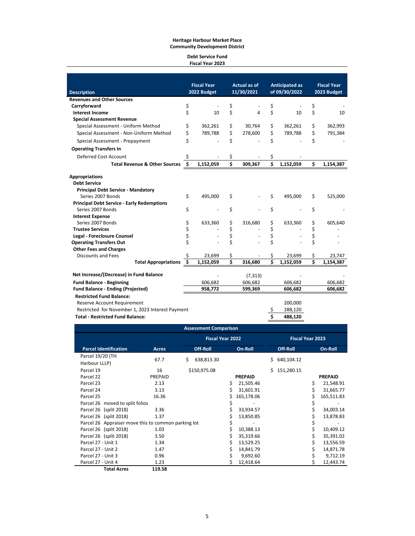#### **Debt Service Fund Fiscal Year 2023**

|                                                   |          | <b>Fiscal Year</b> | <b>Actual as of</b> |            | <b>Anticipated as</b> |                        | <b>Fiscal Year</b> |             |  |
|---------------------------------------------------|----------|--------------------|---------------------|------------|-----------------------|------------------------|--------------------|-------------|--|
| <b>Description</b>                                |          | 2022 Budget        |                     | 11/30/2021 |                       | of 09/30/2022          |                    | 2023 Budget |  |
| <b>Revenues and Other Sources</b>                 |          |                    |                     |            |                       |                        |                    |             |  |
| Carryforward                                      | \$       |                    | \$                  |            | \$                    |                        | \$                 |             |  |
| <b>Interest Income</b>                            | \$       | 10                 | \$                  | 4          | \$                    | 10                     | \$                 | 10          |  |
| <b>Special Assessment Revenue</b>                 |          |                    |                     |            |                       |                        |                    |             |  |
| Special Assessment - Uniform Method               | \$       | 362,261            | \$                  | 30,764     | \$                    | 362,261                | \$                 | 362,993     |  |
| Special Assessment - Non-Uniform Method           | \$       | 789,788            | \$                  | 278,600    | \$                    | 789,788                | \$                 | 791,384     |  |
| Special Assessment - Prepayment                   | \$       |                    | \$                  |            | \$                    |                        | Ś                  |             |  |
| <b>Operating Transfers In</b>                     |          |                    |                     |            |                       |                        |                    |             |  |
| Deferred Cost Account                             | \$       |                    | \$                  |            | \$                    |                        |                    |             |  |
| <b>Total Revenue &amp; Other Sources</b>          | -\$      | 1,152,059          | \$                  | 309,367    | Ś                     | 1,152,059              | \$                 | 1,154,387   |  |
| <b>Appropriations</b>                             |          |                    |                     |            |                       |                        |                    |             |  |
| <b>Debt Service</b>                               |          |                    |                     |            |                       |                        |                    |             |  |
| <b>Principal Debt Service - Mandatory</b>         |          |                    |                     |            |                       |                        |                    |             |  |
| Series 2007 Bonds                                 | \$       | 495,000            | \$                  |            | \$                    | 495,000                | \$                 | 525,000     |  |
| <b>Principal Debt Service - Early Redemptions</b> |          |                    |                     |            |                       |                        |                    |             |  |
| Series 2007 Bonds                                 | \$       |                    | \$                  |            | \$                    |                        | \$                 |             |  |
| <b>Interest Expense</b><br>Series 2007 Bonds      |          |                    |                     |            |                       |                        |                    |             |  |
| <b>Trustee Services</b>                           | \$       | 633,360            | \$                  | 316,680    | \$                    | 633,360                | \$                 | 605,640     |  |
| Legal - Foreclosure Counsel                       | \$<br>\$ |                    | \$<br>\$            |            | \$<br>\$              |                        | \$                 |             |  |
| <b>Operating Transfers Out</b>                    | \$       |                    | \$                  |            | \$                    |                        | \$<br>\$           |             |  |
| <b>Other Fees and Charges</b>                     |          |                    |                     |            |                       |                        |                    |             |  |
| <b>Discounts and Fees</b>                         | Ś        | 23.699             | \$                  |            | \$                    | 23,699                 | \$                 | 23,747      |  |
| <b>Total Appropriations</b>                       | Ś.       | 1,152,059          | Ś                   | 316,680    | Ś                     | $\overline{1,}152,059$ | Ś                  | 1,154,387   |  |
|                                                   |          |                    |                     |            |                       |                        |                    |             |  |
| Net Increase/(Decrease) in Fund Balance           |          |                    |                     | (7, 313)   |                       |                        |                    |             |  |
| <b>Fund Balance - Beginning</b>                   |          | 606.682            |                     | 606,682    |                       | 606.682                |                    | 606,682     |  |
| <b>Fund Balance - Ending (Projected)</b>          |          | 958,772            |                     | 599,369    |                       | 606,682                |                    | 606,682     |  |
| <b>Restricted Fund Balance:</b>                   |          |                    |                     |            |                       |                        |                    |             |  |
| Reserve Account Requirement                       |          |                    |                     |            |                       | 200,000                |                    |             |  |
| Restricted for November 1, 2023 Interest Payment  |          |                    |                     |            |                       | 288,120                |                    |             |  |
| <b>Total - Restricted Fund Balance:</b>           |          |                    |                     |            | Ś                     | 488,120                |                    |             |  |

| <b>Assessment Comparison</b>                        |              |                  |                         |                         |                 |  |  |  |  |  |
|-----------------------------------------------------|--------------|------------------|-------------------------|-------------------------|-----------------|--|--|--|--|--|
|                                                     |              |                  | <b>Fiscal Year 2022</b> | <b>Fiscal Year 2023</b> |                 |  |  |  |  |  |
| <b>Parcel Identification</b>                        | <b>Acres</b> | Off-Roll         | On-Roll                 | <b>Off-Roll</b>         | On-Roll         |  |  |  |  |  |
| Parcel 19/20 (TH                                    |              |                  |                         |                         |                 |  |  |  |  |  |
| Harbour LLLP)                                       | 67.7         | 638,813.30<br>Ś. |                         | 640,104.12              |                 |  |  |  |  |  |
| Parcel 19                                           | 16           | \$150,975.08     |                         | 151,280.15<br>Ś.        |                 |  |  |  |  |  |
| Parcel 22                                           | PREPAID      |                  | <b>PREPAID</b>          |                         | <b>PREPAID</b>  |  |  |  |  |  |
| Parcel 23                                           | 2.13         |                  | 21,505.46<br>Ś          |                         | \$<br>21,548.91 |  |  |  |  |  |
| Parcel 24                                           | 3.13         |                  | 31,601.91               |                         | 31,665.77       |  |  |  |  |  |
| Parcel 25                                           | 16.36        |                  | 165,178.06              |                         | 165,511.83      |  |  |  |  |  |
| Parcel 26 moved to split folios                     |              |                  | \$                      |                         |                 |  |  |  |  |  |
| Parcel 26 (split 2018)                              | 3.36         |                  | 33,934.57               |                         | 34,003.14       |  |  |  |  |  |
| Parcel 26 (split 2018)                              | 1.37         |                  | 13,850.85               |                         | 13,878.83       |  |  |  |  |  |
| Parcel 26 Appraiser move this to common parking lot |              |                  | \$                      |                         |                 |  |  |  |  |  |
| Parcel 26 (split 2018)                              | 1.03         |                  | 10,388.13               |                         | 10,409.12       |  |  |  |  |  |
| Parcel 26 (split 2018)                              | 3.50         |                  | 35,319.66<br>S.         |                         | 35,391.02       |  |  |  |  |  |
| Parcel 27 - Unit 1                                  | 1.34         |                  | 13,529.25               |                         | 13,556.59       |  |  |  |  |  |
| Parcel 27 - Unit 2                                  | 1.47         |                  | 14,841.79               |                         | 14,871.78       |  |  |  |  |  |
| Parcel 27 - Unit 3                                  | 0.96         |                  | 9,692.60                |                         | 9,712.19        |  |  |  |  |  |
| Parcel 27 - Unit 4                                  | 1.23         |                  | 12,418.64               |                         | 12,443.74       |  |  |  |  |  |
| <b>Total Acres</b>                                  | 119.58       |                  |                         |                         |                 |  |  |  |  |  |